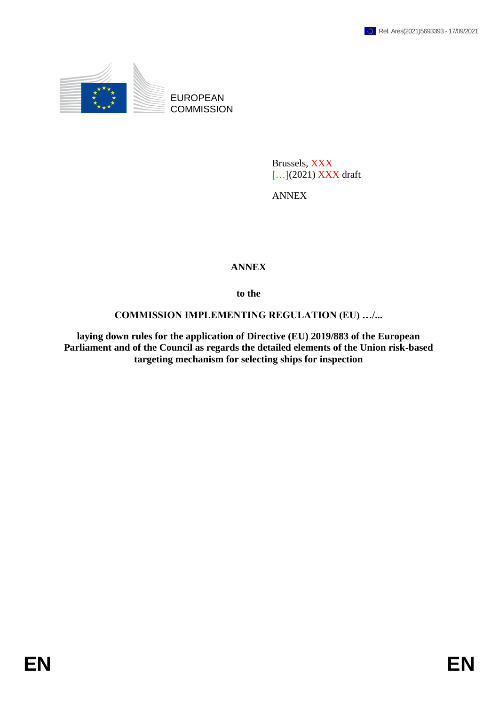

EUROPEAN **COMMISSION** 

> Brussels, XXX [...](2021) **XXX** draft

ANNEX

## **ANNEX**

**to the**

## **COMMISSION IMPLEMENTING REGULATION (EU) …/...**

**laying down rules for the application of Directive (EU) 2019/883 of the European Parliament and of the Council as regards the detailed elements of the Union risk-based targeting mechanism for selecting ships for inspection**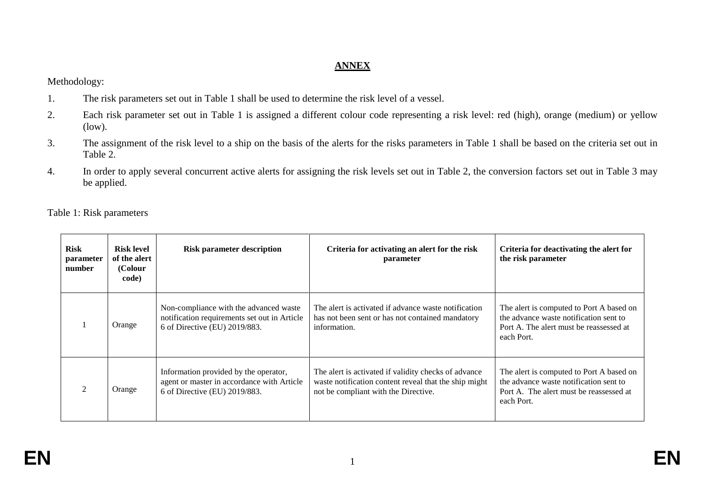## **ANNEX**

Methodology:

- 1. The risk parameters set out in Table 1 shall be used to determine the risk level of a vessel.
- 2. Each risk parameter set out in Table 1 is assigned a different colour code representing a risk level: red (high), orange (medium) or yellow (low).
- 3. The assignment of the risk level to a ship on the basis of the alerts for the risks parameters in Table 1 shall be based on the criteria set out in Table 2.
- 4. In order to apply several concurrent active alerts for assigning the risk levels set out in Table 2, the conversion factors set out in Table 3 may be applied.

Table 1: Risk parameters

| <b>Risk</b><br>parameter<br>number | <b>Risk level</b><br>of the alert<br>(Colour<br>code) | <b>Risk parameter description</b>                                                                                       | Criteria for activating an alert for the risk<br>parameter                                                                                            | Criteria for deactivating the alert for<br>the risk parameter                                                                               |
|------------------------------------|-------------------------------------------------------|-------------------------------------------------------------------------------------------------------------------------|-------------------------------------------------------------------------------------------------------------------------------------------------------|---------------------------------------------------------------------------------------------------------------------------------------------|
|                                    | Orange                                                | Non-compliance with the advanced waste<br>notification requirements set out in Article<br>6 of Directive (EU) 2019/883. | The alert is activated if advance waste notification<br>has not been sent or has not contained mandatory<br>information.                              | The alert is computed to Port A based on<br>the advance waste notification sent to<br>Port A. The alert must be reassessed at<br>each Port. |
|                                    | Orange                                                | Information provided by the operator,<br>agent or master in accordance with Article<br>6 of Directive (EU) 2019/883.    | The alert is activated if validity checks of advance<br>waste notification content reveal that the ship might<br>not be compliant with the Directive. | The alert is computed to Port A based on<br>the advance waste notification sent to<br>Port A. The alert must be reassessed at<br>each Port. |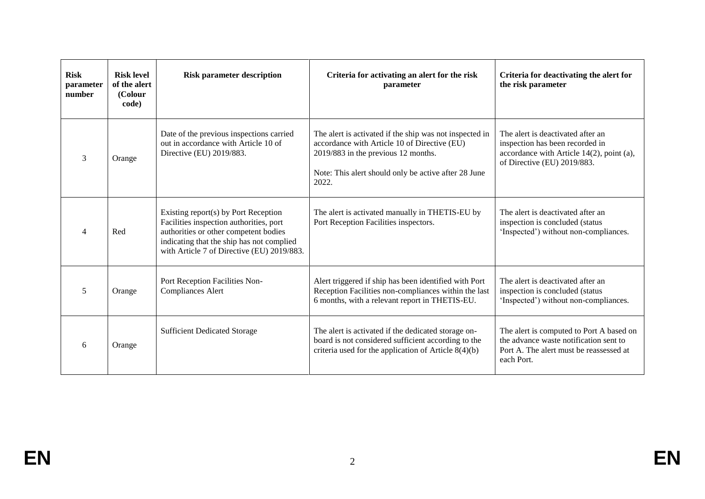| <b>Risk</b><br>parameter<br>number | <b>Risk level</b><br>of the alert<br>(Colour<br>code) | <b>Risk parameter description</b>                                                                                                                                                                                   | Criteria for activating an alert for the risk<br>parameter                                                                                                                                                      | Criteria for deactivating the alert for<br>the risk parameter                                                                                       |
|------------------------------------|-------------------------------------------------------|---------------------------------------------------------------------------------------------------------------------------------------------------------------------------------------------------------------------|-----------------------------------------------------------------------------------------------------------------------------------------------------------------------------------------------------------------|-----------------------------------------------------------------------------------------------------------------------------------------------------|
| 3                                  | Orange                                                | Date of the previous inspections carried<br>out in accordance with Article 10 of<br>Directive (EU) 2019/883.                                                                                                        | The alert is activated if the ship was not inspected in<br>accordance with Article 10 of Directive (EU)<br>2019/883 in the previous 12 months.<br>Note: This alert should only be active after 28 June<br>2022. | The alert is deactivated after an<br>inspection has been recorded in<br>accordance with Article $14(2)$ , point (a),<br>of Directive (EU) 2019/883. |
| $\overline{4}$                     | Red                                                   | Existing report(s) by Port Reception<br>Facilities inspection authorities, port<br>authorities or other competent bodies<br>indicating that the ship has not complied<br>with Article 7 of Directive (EU) 2019/883. | The alert is activated manually in THETIS-EU by<br>Port Reception Facilities inspectors.                                                                                                                        | The alert is deactivated after an<br>inspection is concluded (status<br>'Inspected') without non-compliances.                                       |
| 5                                  | Orange                                                | Port Reception Facilities Non-<br><b>Compliances Alert</b>                                                                                                                                                          | Alert triggered if ship has been identified with Port<br>Reception Facilities non-compliances within the last<br>6 months, with a relevant report in THETIS-EU.                                                 | The alert is deactivated after an<br>inspection is concluded (status<br>'Inspected') without non-compliances.                                       |
| 6                                  | Orange                                                | <b>Sufficient Dedicated Storage</b>                                                                                                                                                                                 | The alert is activated if the dedicated storage on-<br>board is not considered sufficient according to the<br>criteria used for the application of Article $8(4)(b)$                                            | The alert is computed to Port A based on<br>the advance waste notification sent to<br>Port A. The alert must be reassessed at<br>each Port.         |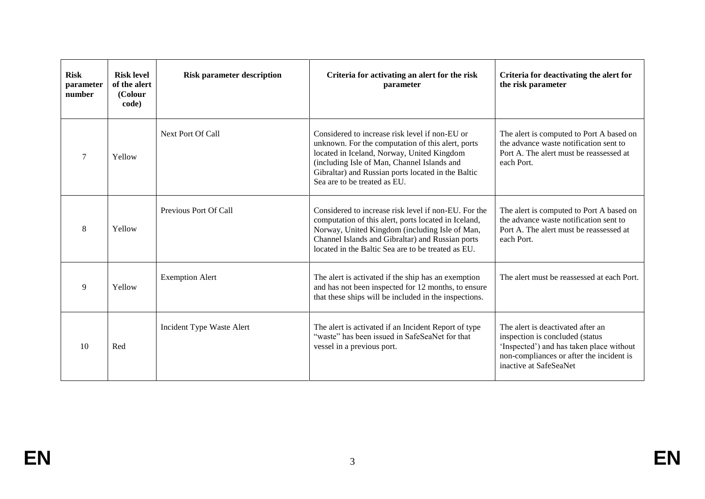| <b>Risk</b><br>parameter<br>number | <b>Risk level</b><br>of the alert<br>(Colour<br>code) | <b>Risk parameter description</b> | Criteria for activating an alert for the risk<br>parameter                                                                                                                                                                                                                             | Criteria for deactivating the alert for<br>the risk parameter                                                                                                                           |
|------------------------------------|-------------------------------------------------------|-----------------------------------|----------------------------------------------------------------------------------------------------------------------------------------------------------------------------------------------------------------------------------------------------------------------------------------|-----------------------------------------------------------------------------------------------------------------------------------------------------------------------------------------|
| $\tau$                             | Yellow                                                | Next Port Of Call                 | Considered to increase risk level if non-EU or<br>unknown. For the computation of this alert, ports<br>located in Iceland, Norway, United Kingdom<br>(including Isle of Man, Channel Islands and<br>Gibraltar) and Russian ports located in the Baltic<br>Sea are to be treated as EU. | The alert is computed to Port A based on<br>the advance waste notification sent to<br>Port A. The alert must be reassessed at<br>each Port.                                             |
| 8                                  | Yellow                                                | Previous Port Of Call             | Considered to increase risk level if non-EU. For the<br>computation of this alert, ports located in Iceland,<br>Norway, United Kingdom (including Isle of Man,<br>Channel Islands and Gibraltar) and Russian ports<br>located in the Baltic Sea are to be treated as EU.               | The alert is computed to Port A based on<br>the advance waste notification sent to<br>Port A. The alert must be reassessed at<br>each Port.                                             |
| 9                                  | Yellow                                                | <b>Exemption Alert</b>            | The alert is activated if the ship has an exemption<br>and has not been inspected for 12 months, to ensure<br>that these ships will be included in the inspections.                                                                                                                    | The alert must be reassessed at each Port.                                                                                                                                              |
| 10                                 | Red                                                   | Incident Type Waste Alert         | The alert is activated if an Incident Report of type<br>"waste" has been issued in SafeSeaNet for that<br>vessel in a previous port.                                                                                                                                                   | The alert is deactivated after an<br>inspection is concluded (status)<br>'Inspected') and has taken place without<br>non-compliances or after the incident is<br>inactive at SafeSeaNet |